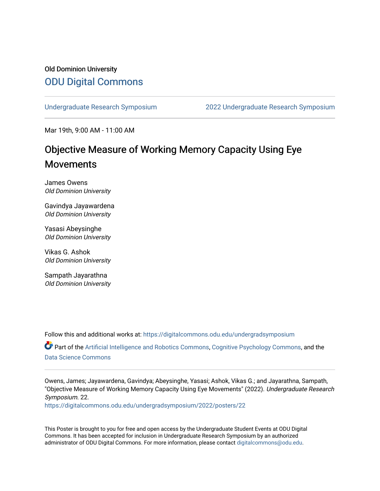### Old Dominion University [ODU Digital Commons](https://digitalcommons.odu.edu/)

[Undergraduate Research Symposium](https://digitalcommons.odu.edu/undergradsymposium) [2022 Undergraduate Research Symposium](https://digitalcommons.odu.edu/undergradsymposium/2022) 

Mar 19th, 9:00 AM - 11:00 AM

### Objective Measure of Working Memory Capacity Using Eye Movements

James Owens Old Dominion University

Gavindya Jayawardena Old Dominion University

Yasasi Abeysinghe Old Dominion University

Vikas G. Ashok Old Dominion University

Sampath Jayarathna Old Dominion University

Follow this and additional works at: [https://digitalcommons.odu.edu/undergradsymposium](https://digitalcommons.odu.edu/undergradsymposium?utm_source=digitalcommons.odu.edu%2Fundergradsymposium%2F2022%2Fposters%2F22&utm_medium=PDF&utm_campaign=PDFCoverPages)  Part of the [Artificial Intelligence and Robotics Commons](http://network.bepress.com/hgg/discipline/143?utm_source=digitalcommons.odu.edu%2Fundergradsymposium%2F2022%2Fposters%2F22&utm_medium=PDF&utm_campaign=PDFCoverPages), [Cognitive Psychology Commons](http://network.bepress.com/hgg/discipline/408?utm_source=digitalcommons.odu.edu%2Fundergradsymposium%2F2022%2Fposters%2F22&utm_medium=PDF&utm_campaign=PDFCoverPages), and the [Data Science Commons](http://network.bepress.com/hgg/discipline/1429?utm_source=digitalcommons.odu.edu%2Fundergradsymposium%2F2022%2Fposters%2F22&utm_medium=PDF&utm_campaign=PDFCoverPages) 

Owens, James; Jayawardena, Gavindya; Abeysinghe, Yasasi; Ashok, Vikas G.; and Jayarathna, Sampath, "Objective Measure of Working Memory Capacity Using Eye Movements" (2022). Undergraduate Research Symposium. 22.

[https://digitalcommons.odu.edu/undergradsymposium/2022/posters/22](https://digitalcommons.odu.edu/undergradsymposium/2022/posters/22?utm_source=digitalcommons.odu.edu%2Fundergradsymposium%2F2022%2Fposters%2F22&utm_medium=PDF&utm_campaign=PDFCoverPages) 

This Poster is brought to you for free and open access by the Undergraduate Student Events at ODU Digital Commons. It has been accepted for inclusion in Undergraduate Research Symposium by an authorized administrator of ODU Digital Commons. For more information, please contact [digitalcommons@odu.edu](mailto:digitalcommons@odu.edu).